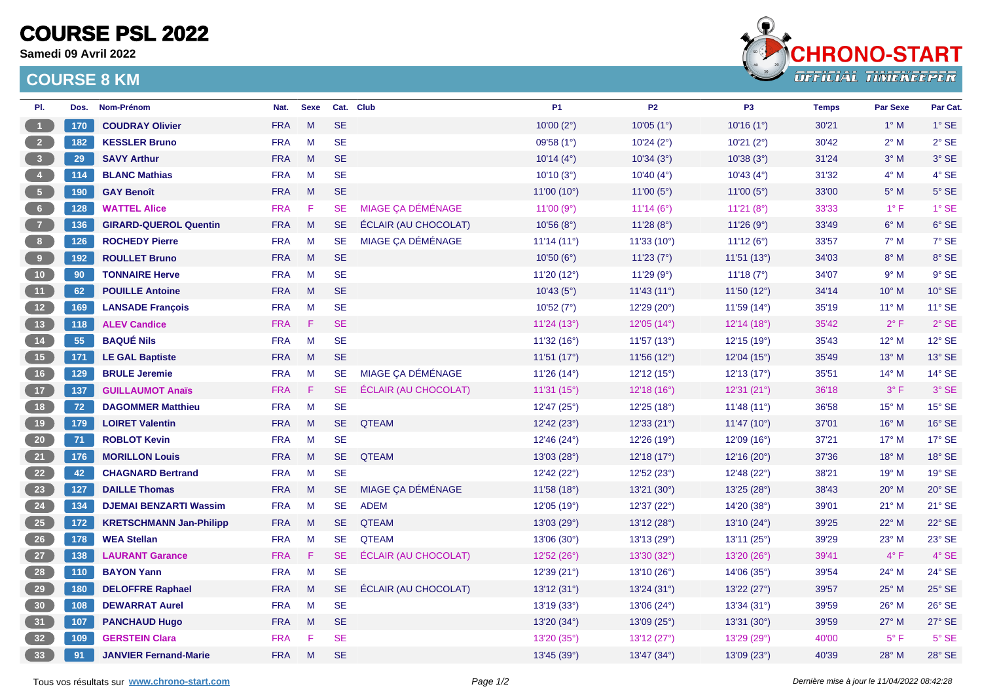## **COURSE PSL 2022**

**Samedi 09 Avril 2022**

## **COURSE 8 KM**



| PI.                                                   | Dos.  | Nom-Prénom                     | Nat.       | <b>Sexe</b> |           | Cat. Club                   | <b>P1</b>   | <b>P2</b>             | P <sub>3</sub>      | <b>Temps</b> | <b>Par Sexe</b> | Par Cat.      |
|-------------------------------------------------------|-------|--------------------------------|------------|-------------|-----------|-----------------------------|-------------|-----------------------|---------------------|--------------|-----------------|---------------|
| $\vert$ 1                                             | 170   | <b>COUDRAY Olivier</b>         | <b>FRA</b> | M           | <b>SE</b> |                             | 10'00 (2°)  | 10'05(1°)             | 10'16(1°)           | 30'21        | $1^\circ$ M     | $1^\circ$ SE  |
| $\overline{2}$                                        | 182   | <b>KESSLER Bruno</b>           | <b>FRA</b> | M           | <b>SE</b> |                             | 09'58 (1°)  | 10'24(2°)             | 10'21(2°)           | 30'42        | $2^{\circ}$ M   | $2°$ SE       |
| 3 <sup>°</sup>                                        | 29    | <b>SAVY Arthur</b>             | <b>FRA</b> | M           | <b>SE</b> |                             | 10'14(4°)   | 10'34(3°)             | 10'38(3°)           | 31'24        | $3^\circ$ M     | 3° SE         |
| $\begin{array}{ c c } \hline 4 \\ \hline \end{array}$ | 114   | <b>BLANC Mathias</b>           | <b>FRA</b> | M           | <b>SE</b> |                             | 10'10(3°)   | 10'40(4°)             | 10'43(4°)           | 31'32        | $4^\circ$ M     | $4°$ SE       |
| $\begin{bmatrix} 5 \end{bmatrix}$                     | 190   | <b>GAY Benoît</b>              | <b>FRA</b> | M           | <b>SE</b> |                             | 11'00 (10°) | 11'00 $(5^{\circ})$   | 11'00 $(5^{\circ})$ | 33'00        | $5^\circ$ M     | $5^\circ$ SE  |
| 6 <sup>1</sup>                                        | 128   | <b>WATTEL Alice</b>            | <b>FRA</b> | F.          | <b>SE</b> | MIAGE ÇA DÉMÉNAGE           | 11'00 (9°)  | 11'14 ( $6^{\circ}$ ) | 11'21 $(8°)$        | 33'33        | $1^{\circ}$ F   | $1°$ SE       |
| $\overline{7}$                                        | 136   | <b>GIRARD-QUEROL Quentin</b>   | <b>FRA</b> | M           | <b>SE</b> | <b>ÉCLAIR (AU CHOCOLAT)</b> | 10'56(8°)   | 11'28 $(8°)$          | 11'26(9°)           | 33'49        | $6^\circ$ M     | 6° SE         |
| 8 <sup>1</sup>                                        | $126$ | <b>ROCHEDY Pierre</b>          | <b>FRA</b> | M           | <b>SE</b> | MIAGE ÇA DÉMÉNAGE           | 11'14(11°)  | 11'33 (10°)           | 11'12(6°)           | 33'57        | $7^\circ$ M     | 7° SE         |
| $\overline{\mathbf{9}}$                               | 192   | <b>ROULLET Bruno</b>           | <b>FRA</b> | M           | <b>SE</b> |                             | 10'50(6°)   | 11'23(7°)             | 11'51 (13°)         | 34'03        | $8^\circ$ M     | 8° SE         |
| 10 <sub>1</sub>                                       | 90    | <b>TONNAIRE Herve</b>          | <b>FRA</b> | M           | <b>SE</b> |                             | 11'20 (12°) | 11'29 (9°)            | 11'18(7°)           | 34'07        | 9° M            | $9°$ SE       |
| 11                                                    | 62    | <b>POUILLE Antoine</b>         | <b>FRA</b> | M           | <b>SE</b> |                             | 10'43(5°)   | 11'43(11°)            | 11'50(12°)          | 34'14        | $10^{\circ}$ M  | 10° SE        |
| 12                                                    | 169   | <b>LANSADE François</b>        | <b>FRA</b> | M           | <b>SE</b> |                             | 10'52(7°)   | 12'29 (20°)           | 11'59 (14°)         | 35'19        | $11^{\circ}$ M  | 11° SE        |
| 13                                                    | 118   | <b>ALEV Candice</b>            | <b>FRA</b> | F           | <b>SE</b> |                             | 11'24 (13°) | 12'05 (14°)           | 12'14 (18°)         | 35'42        | $2^{\circ}$ F   | $2°$ SE       |
| 14                                                    | 55    | <b>BAQUÉ Nils</b>              | <b>FRA</b> | M           | <b>SE</b> |                             | 11'32 (16°) | 11'57 (13°)           | 12'15 (19°)         | 35'43        | $12^{\circ}$ M  | 12° SE        |
| 15                                                    | 171   | <b>LE GAL Baptiste</b>         | <b>FRA</b> | M           | <b>SE</b> |                             | 11'51 (17°) | 11'56 (12°)           | 12'04 (15°)         | 35'49        | $13^{\circ}$ M  | 13° SE        |
| 16                                                    | 129   | <b>BRULE Jeremie</b>           | <b>FRA</b> | M           | <b>SE</b> | MIAGE ÇA DÉMÉNAGE           | 11'26 (14°) | 12'12(15°)            | 12'13 (17°)         | 35'51        | $14^{\circ}$ M  | 14° SE        |
| 17 <sup>°</sup>                                       | 137   | <b>GUILLAUMOT Anaïs</b>        | <b>FRA</b> | Æ           | SE.       | <b>ÉCLAIR (AU CHOCOLAT)</b> | 11'31(15°)  | 12'18 (16°)           | 12'31 (21°)         | 36'18        | $3^{\circ}$ F   | 3° SE         |
| 18                                                    | 72    | <b>DAGOMMER Matthieu</b>       | <b>FRA</b> | M           | <b>SE</b> |                             | 12'47 (25°) | 12'25 (18°)           | 11'48 (11°)         | 36'58        | $15^{\circ}$ M  | 15° SE        |
| 19                                                    | 179   | <b>LOIRET Valentin</b>         | <b>FRA</b> | M           | <b>SE</b> | <b>QTEAM</b>                | 12'42 (23°) | 12'33 (21°)           | 11'47(10°)          | 37'01        | $16^{\circ}$ M  | 16° SE        |
| 20 <sub>2</sub>                                       | 71    | <b>ROBLOT Kevin</b>            | <b>FRA</b> | M           | <b>SE</b> |                             | 12'46 (24°) | 12'26 (19°)           | 12'09(16°)          | 37'21        | $17^{\circ}$ M  | 17° SE        |
| $\begin{bmatrix} 21 \end{bmatrix}$                    | 176   | <b>MORILLON Louis</b>          | <b>FRA</b> | M           | <b>SE</b> | <b>QTEAM</b>                | 13'03 (28°) | 12'18(17°)            | 12'16(20°)          | 37'36        | $18^{\circ}$ M  | 18° SE        |
| 22                                                    | 42    | <b>CHAGNARD Bertrand</b>       | <b>FRA</b> | M           | <b>SE</b> |                             | 12'42 (22°) | 12'52 (23°)           | 12'48(22°)          | 38'21        | $19^{\circ}$ M  | 19° SE        |
| 23                                                    | 127   | <b>DAILLE Thomas</b>           | <b>FRA</b> | M           | <b>SE</b> | MIAGE ÇA DÉMÉNAGE           | 11'58 (18°) | 13'21 (30°)           | 13'25 (28°)         | 38'43        | $20^\circ$ M    | $20^\circ$ SE |
| 24                                                    | 134   | <b>DJEMAI BENZARTI Wassim</b>  | <b>FRA</b> | M           | <b>SE</b> | <b>ADEM</b>                 | 12'05 (19°) | 12'37 (22°)           | 14'20 (38°)         | 39'01        | $21^{\circ}$ M  | 21° SE        |
| 25                                                    | 172   | <b>KRETSCHMANN Jan-Philipp</b> | <b>FRA</b> | M           | <b>SE</b> | <b>QTEAM</b>                | 13'03 (29°) | 13'12 (28°)           | 13'10 (24°)         | 39'25        | $22^{\circ}$ M  | 22° SE        |
| 26                                                    | 178   | <b>WEA Stellan</b>             | <b>FRA</b> | M           | <b>SE</b> | <b>QTEAM</b>                | 13'06 (30°) | 13'13 (29°)           | 13'11(25°)          | 39'29        | 23° M           | 23° SE        |
| 27                                                    | 138   | <b>LAURANT Garance</b>         | <b>FRA</b> | F.          | <b>SE</b> | <b>ÉCLAIR (AU CHOCOLAT)</b> | 12'52 (26°) | 13'30 (32°)           | 13'20 (26°)         | 39'41        | $4^{\circ}$ F   | 4° SE         |
| 28                                                    | 110   | <b>BAYON Yann</b>              | <b>FRA</b> | M           | <b>SE</b> |                             | 12'39 (21°) | 13'10 (26°)           | 14'06 (35°)         | 39'54        | 24° M           | 24° SE        |
| 29                                                    | 180   | <b>DELOFFRE Raphael</b>        | <b>FRA</b> | M           | <b>SE</b> | <b>ÉCLAIR (AU CHOCOLAT)</b> | 13'12(31°)  | 13'24 (31°)           | 13'22 (27°)         | 39'57        | $25^{\circ}$ M  | $25^\circ$ SE |
| 30 <sub>2</sub>                                       | 108   | <b>DEWARRAT Aurel</b>          | <b>FRA</b> | M           | <b>SE</b> |                             | 13'19(33°)  | 13'06 (24°)           | 13'34(31°)          | 39'59        | $26^{\circ}$ M  | 26° SE        |
| 31                                                    | 107   | <b>PANCHAUD Hugo</b>           | <b>FRA</b> | M           | <b>SE</b> |                             | 13'20 (34°) | 13'09 (25°)           | 13'31 (30°)         | 39'59        | $27^\circ$ M    | 27° SE        |
| 32                                                    | 109   | <b>GERSTEIN Clara</b>          | <b>FRA</b> | F           | <b>SE</b> |                             | 13'20 (35°) | 13'12(27°)            | 13'29 (29°)         | 40'00        | $5^{\circ}$ F   | $5^\circ$ SE  |
| 33 <sup>°</sup>                                       | 91    | <b>JANVIER Fernand-Marie</b>   | <b>FRA</b> | M           | <b>SE</b> |                             | 13'45(39°)  | 13'47(34°)            | 13'09(23°)          | 40'39        | 28° M           | 28° SE        |